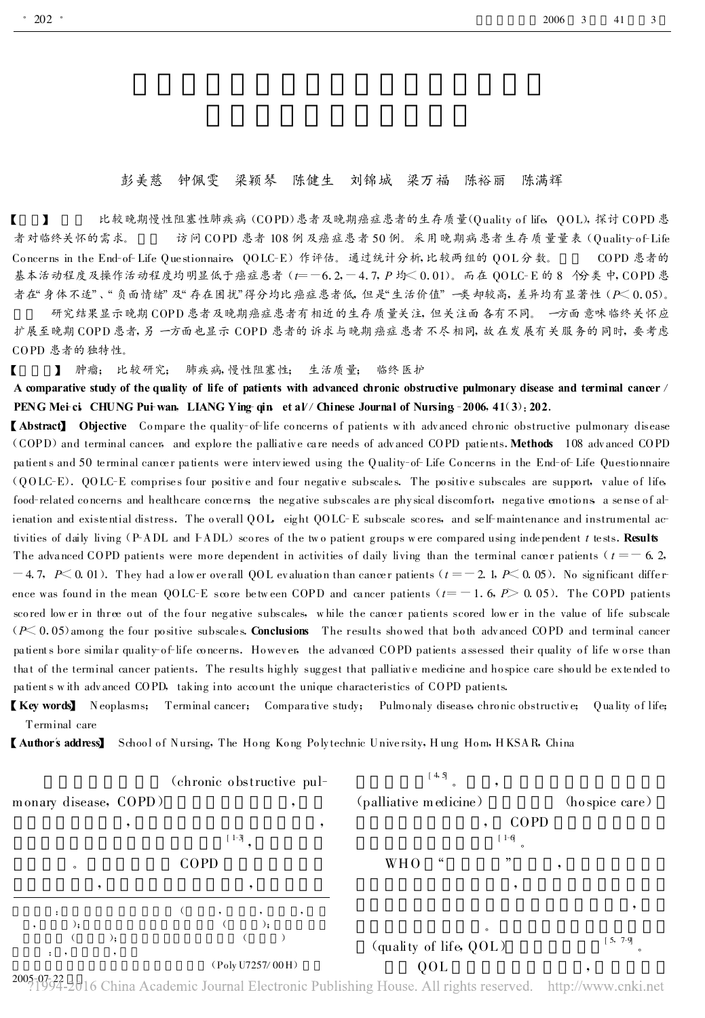## 彭美慈 钟佩雯 梁颖琴 陈健生 刘锦城 梁万福 陈裕丽 陈满辉

【 】 比较晚期慢性阻塞性肺疾病 (COPD)患者及晚期癌症患者的生存质量(Quality o f life , QOL), 探讨 COPD 患 者对临终关怀的需求。 方问 COPD 患者 108 例及癌症患者 50 例。采用晚期病患者生存质量量表 (Ouality-of-Life Co ncer ns in the End-of-Life Que stionnaire , QOLC-E)作评估。 通过统计分析, 比较两组的 QOL 分数。 COPD 患者的 基本活动程度及操作活动程度均明显低于癌症患者 (t =-6.2, -4.7, P 均<0.01)。 而在 QOLC-E 的 8 个分类中, COPD 患 者在"身体不适"、"负面情绪"及"存在困扰"得分均比癌症患者低, 但是"生活价值"一类却较高, 差异均有显著性 (P< 0.05)。

研究结果显示晚期 COPD 患者及晚期癌症患者有相近的生存质量关注, 但关注面各有不同。 一方面意味临终关怀应 扩展至晚期 COPD 患者, 另一方面也显示 COPD 患者的诉求与晚期癌症患者不尽相同, 故在发展有关服务的同时, 要考虑 COPD 患者的独特性。

【 】 肿瘤; 比较研究; 肺疾病, 慢性阻塞性; 生活质量; 临终医护

A comparative study of the quality of life of patients with advanced chronic obstructive pulmonary disease and terminal cancer / PENG Mei-ci, CHUNG Pui-wan, LIANG Ying-qin, et al// Chinese Journal of Nursing -2006, 41(3): 202.

**[Abstract]** Objective Compare the quality-of-life concerns of patients with advanced chronic obstructive pulmonary disease (COPD) and terminal cancer, and explore the palliative care needs of advanced COPD patients. Methods 108 advanced COPD patients and 50 terminal cancer patients were interviewed using the Quality-of-Life Concerns in the End-of-Life Questionnaire  $(QOLC-E)$ . QOLC-E comprises four positive and four negative subscales. The positive subscales are support, value of life food-related concerns and healthcare concerns; the negative subscales are physical discomfort, negative emotions, a sense of alienation and existential distress. The overall QOL, eight QOLC-E subscale scores, and self-maintenance and instrumental activities of daily living (P-ADL and F-ADL) scores of the two patient groups were compared using independent t tests. Results The advanced COPD patients were more dependent in activities of daily living than the terminal cancer patients ( $t = -6.2$ ,  $-4.7, P\leq 0.01$ ). They had a low er overall QOL evaluation than cancer patients ( $t = -2.1, P\leq 0.05$ ). No significant difference was found in the mean QOLC-E score between COPD and cancer patients ( $t = -1.6$ ,  $P > 0.05$ ). The COPD patients scored low er in three out of the four negative subscales, while the cancer patients scored lower in the value of life subscale  $(P< 0.05)$  among the four positive subscales. Conclusions The results showed that both advanced COPD and terminal cancer patients bore similar quality-of-life concerns. However, the advanced COPD patients assessed their quality of life w orse than that of the terminal cancer patients. The results highly suggest that palliative medicine and hospice care should be extended to

pa tients w ith adv anced COPD, taking into acco unt the unique characteristics of COPD patients.

**[Key words]** Neoplasms; Terminal cancer; Comparative study; Pulmonaly disease chronic obstructive; Quality of life; Terminal care

【 Author's address】 School of Nursing, The Hong Kong Polytechnic University, Hung Hom, HKSAR, China



2005-07-22 2016 China Academic Journal Electronic Publishing House. All rights reserved. http://www.cnki.net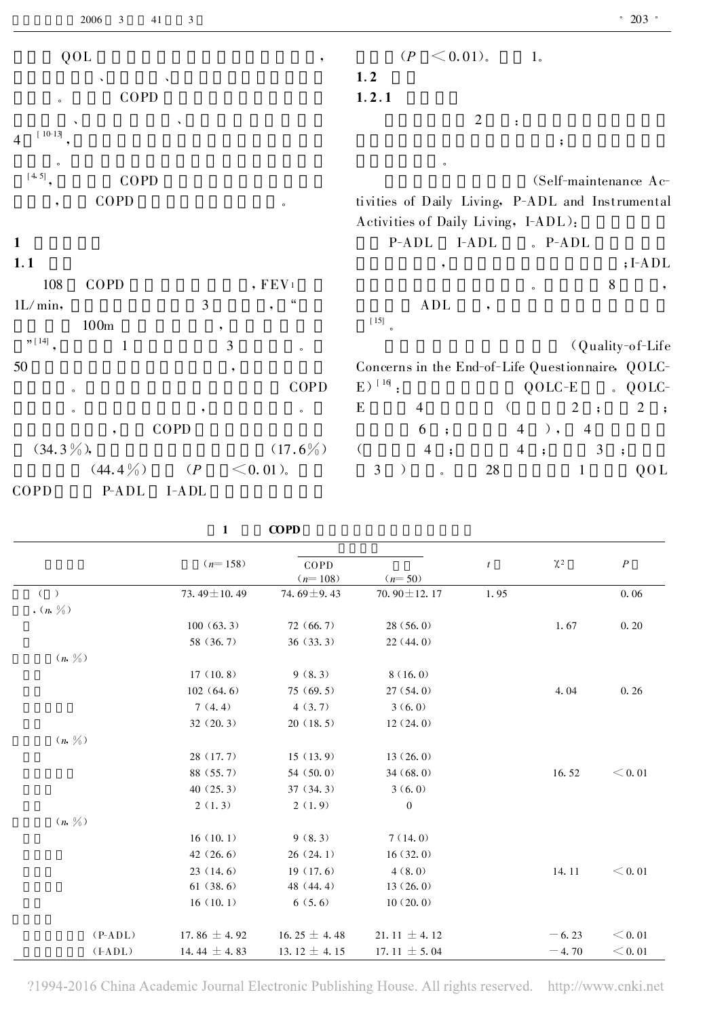| QOL<br>$, \,$                                          | $< 0.01$ ).<br>$(P -$<br>1 <sub>o</sub>                                                                  |
|--------------------------------------------------------|----------------------------------------------------------------------------------------------------------|
| $\boldsymbol{\lambda}$                                 | 1.2                                                                                                      |
| COPD<br>$\circ$                                        | 1.2.1                                                                                                    |
|                                                        | $\overline{2}$                                                                                           |
| $10-13$<br>$\overline{4}$                              | $\ddot{\phantom{0}},$                                                                                    |
| $\circ$                                                | $\circ$                                                                                                  |
| [4, 5]<br>COPD                                         | (Self-maintenance Ac-                                                                                    |
| COPD<br>$\overline{\phantom{a}}$<br>$\circ$            | tivities of Daily Living, P-ADL and Instrumental                                                         |
|                                                        | Activities of Daily Living, I-ADL):                                                                      |
| $\mathbf{1}$                                           | $P-ADL$<br>$I-ADL$<br>$.$ P-ADL                                                                          |
| 1.1                                                    | $;I-ADL$<br>,                                                                                            |
| , FEV <sub>1</sub><br>108<br>COPD                      | 8<br>$\cdot$<br>$\circ$                                                                                  |
| 3<br>1L/min,<br>$\bullet$                              | ADL<br>$\overline{\phantom{a}}$                                                                          |
| 100m                                                   | $[15]$                                                                                                   |
| $n[14]$ ,<br>$\mathfrak{Z}$<br>$\mathbf{1}$<br>$\circ$ | (Quality-of-Life)                                                                                        |
| 50<br>$\overline{\phantom{a}}$                         | Concerns in the End-of-Life Questionnaire, QOLC-                                                         |
| COPD<br>$\circ$                                        | $E)$ <sup>[16]</sup> :<br>$QOLC-E$<br>$\Omega$ QOLC-                                                     |
| $\circ$<br>,<br>$\circ$                                | $\mathfrak{2}$<br>E<br>$\overline{2}$<br>4<br>$\left($<br>$\ddot{\phantom{1}}$<br>$\cdot$ ;              |
| COPD<br>$\cdot$                                        | 6<br>$\overline{4}$<br>$\overline{4}$<br>$\,$ ,<br>$\ddot{\phantom{1}}$                                  |
| $(34.3\%)$<br>$(17.6\%)$                               | $\left($<br>$\overline{4}$<br>$\overline{4}$<br>3<br>$\ddot{\phantom{1}}$<br>$\cdot$ :<br>$\ddot{\cdot}$ |
| $<$ 0.01).<br>$(44.4\%)$<br>(P                         | 3<br>$28\,$<br>$\mathbf{1}$<br>QOL<br>$\rightarrow$<br>$\circ$                                           |
| COPD<br>$P-ADL$<br>I-ADL                               |                                                                                                          |

| COPD |
|------|
|      |

| $(n=158)$         | COPD             |                   | $\mathfrak{t}$ | $\chi$ <sup>2</sup> | $\boldsymbol{P}$ |  |
|-------------------|------------------|-------------------|----------------|---------------------|------------------|--|
|                   | $(n=108)$        | $(n=50)$          |                |                     |                  |  |
| 73.49 $\pm$ 10.49 | 74.69 $\pm$ 9.43 | 70.90 $\pm$ 12.17 | 1.95           |                     | 0.06             |  |
|                   |                  |                   |                |                     |                  |  |
| 100(63.3)         | 72(66.7)         | 28(56.0)          |                | 1.67                | 0.20             |  |
| 58 (36.7)         | 36(33.3)         | 22(44.0)          |                |                     |                  |  |
|                   |                  |                   |                |                     |                  |  |
| 17(10.8)          | 9(8.3)           | 8(16.0)           |                |                     |                  |  |
| 102(64.6)         | 75(69.5)         | 27(54.0)          |                | 4.04                | 0.26             |  |
| 7(4.4)            | 4(3,7)           | 3(6.0)            |                |                     |                  |  |
| 32(20.3)          | 20(18.5)         | 12(24.0)          |                |                     |                  |  |
|                   |                  |                   |                |                     |                  |  |
| 28(17.7)          | 15(13.9)         | 13(26.0)          |                |                     |                  |  |
| 88 (55.7)         | 54(50.0)         | 34(68.0)          |                | 16.52               | < 0.01           |  |
| 40(25.3)          | 37(34.3)         | 3(6.0)            |                |                     |                  |  |
| 2(1,3)            | 2(1.9)           | $\mathbf{0}$      |                |                     |                  |  |
|                   |                  |                   |                |                     |                  |  |
| 16(10.1)          | 9(8.3)           | 7(14.0)           |                |                     |                  |  |
| 42(26.6)          | 26(24.1)         | 16(32.0)          |                |                     |                  |  |
| 23(14.6)          | 19(17.6)         | 4(8,0)            |                | 14.11               | < 0.01           |  |
| 61(38.6)          | 48 (44.4)        | 13(26.0)          |                |                     |                  |  |
| 16(10.1)          | 6(5.6)           | 10(20.0)          |                |                     |                  |  |
| 17.86 $\pm$ 4.92  | 16.25 $\pm$ 4.48 | 21.11 $\pm$ 4.12  |                | $-6.23$             | < 0.01           |  |
| 14.44 $\pm$ 4.83  | 13.12 $\pm$ 4.15 | 17.11 $\pm$ 5.04  |                | $-4.70$             | < 0.01           |  |
|                   |                  |                   |                |                     |                  |  |

?1994-2016 China Academic Journal Electronic Publishing House. All rights reserved. http://www.cnki.net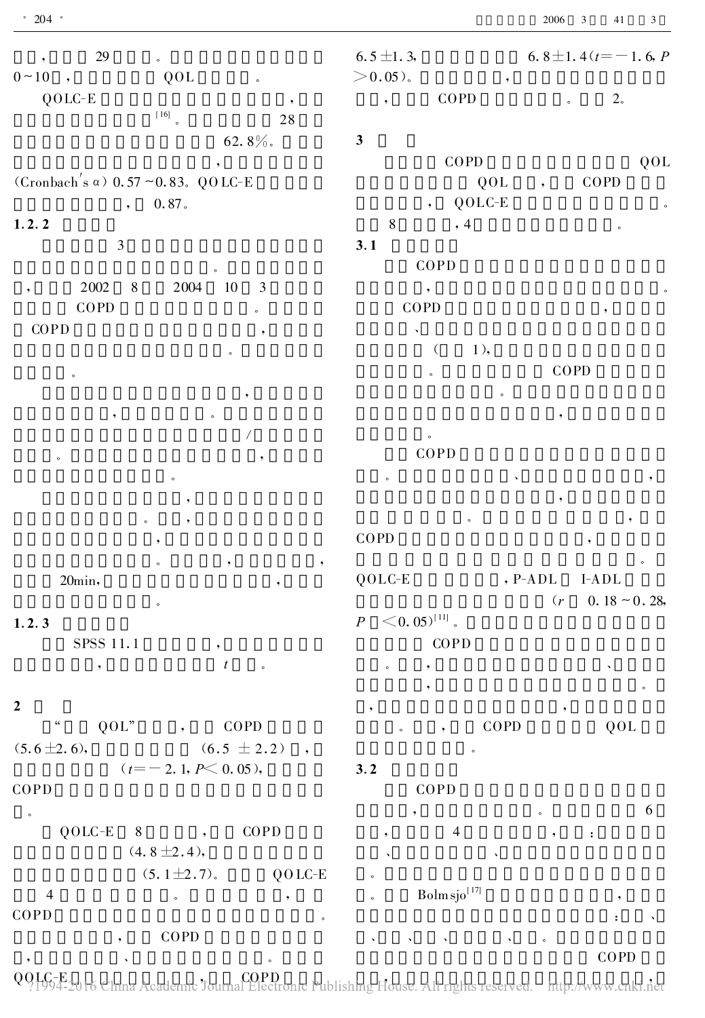| 29<br>$0 \sim 10$ ,                            | $\circ$<br>QOL<br>$\circ$            | $6.5 \pm 1.3$<br>$>$ 0.05).<br>$\,{}^{\circ}\,$  | 6.8 $\pm$ 1.4( $t$ = -1.6, $P$                                                                                         |
|------------------------------------------------|--------------------------------------|--------------------------------------------------|------------------------------------------------------------------------------------------------------------------------|
| $QOLC-E$                                       | $\begin{bmatrix} 16 \end{bmatrix}$ . | COPD<br>,                                        | $2\degree$<br>$\circ$                                                                                                  |
|                                                | 28                                   |                                                  |                                                                                                                        |
|                                                | 62.8%.                               | $\mathbf{3}$                                     |                                                                                                                        |
|                                                |                                      | COPD                                             | QOL                                                                                                                    |
| (Cronbach's $\alpha$ ) 0.57 ~0.83. QOLC-E      |                                      | QOL                                              | COPD                                                                                                                   |
| $\bullet$                                      | $0.\,\allowbreak 87$ .               | QOLC-E<br>$\overline{\phantom{a}}$               | $\circ$                                                                                                                |
| 1.2.2<br>$\mathfrak{Z}$                        |                                      | $\,8\,$<br>, 4                                   | $\circ$                                                                                                                |
|                                                |                                      | 3.1<br>COPD                                      |                                                                                                                        |
| $2\,002$<br>$\,8\,$                            | 2004<br>$10\,$<br>3                  |                                                  |                                                                                                                        |
| $\overline{\phantom{a}}$<br>COPD               |                                      | $\overline{\phantom{a}}$<br>COPD                 |                                                                                                                        |
| COPD                                           | $\circ$                              |                                                  | $\bullet$                                                                                                              |
|                                                |                                      | 1),<br>$\left($                                  |                                                                                                                        |
|                                                | $\circ$                              |                                                  | COPD                                                                                                                   |
| $\circ$                                        |                                      | $\circ$                                          |                                                                                                                        |
|                                                |                                      | $\circ$                                          |                                                                                                                        |
|                                                |                                      |                                                  |                                                                                                                        |
|                                                |                                      | $\circ$<br>COPD                                  |                                                                                                                        |
| $\circ$                                        | ,                                    |                                                  |                                                                                                                        |
|                                                | $\circ$                              | $\circ$                                          |                                                                                                                        |
|                                                |                                      |                                                  |                                                                                                                        |
|                                                |                                      | COPD                                             |                                                                                                                        |
| 20min,                                         | ,                                    | $QOLC-E$                                         | , $\mathop{\rm P}\nolimits\negthinspace-\negthinspace\mathop{\rm A}\nolimits\mathop{\rm D}\nolimits{\rm L}$<br>$I-ADL$ |
|                                                | $\circ$                              |                                                  | $0.18 \sim 0.28$ ,<br>(r                                                                                               |
| 1.2.3                                          |                                      | $<$ 0. 05) <sup>[11]</sup> .<br>$\boldsymbol{P}$ |                                                                                                                        |
| SPSS 11.1                                      | $\, ,$                               | COPD                                             |                                                                                                                        |
| $\overline{\phantom{a}}$                       | $\boldsymbol{t}$<br>$\circ$          |                                                  | $\checkmark$                                                                                                           |
|                                                |                                      |                                                  |                                                                                                                        |
| $\boldsymbol{2}$<br>$\mathfrak{c}\mathfrak{c}$ |                                      |                                                  |                                                                                                                        |
| QOL"                                           | COPD                                 | COPD                                             | QOL                                                                                                                    |
| $(5.6 \pm 2.6),$                               | $(6.5 \pm 2.2)$<br>$\cdot$           |                                                  |                                                                                                                        |
|                                                | $(t = -2.1, P \le 0.05),$            | 3.2                                              |                                                                                                                        |
| COPD                                           |                                      | COPD                                             | 6                                                                                                                      |
| $\circ$                                        |                                      |                                                  | $\circ$                                                                                                                |
| $QOLC-E$<br>$8\phantom{.}$                     | COPD<br>$(4.8 \pm 2.4),$             | 4                                                | $\ddot{\cdot}$                                                                                                         |
|                                                | $(5.1 \pm 2.7)$ .<br>QOLC-E          |                                                  |                                                                                                                        |
| $\overline{4}$                                 |                                      | $Bolm sjo[17]$                                   |                                                                                                                        |
| COPD                                           |                                      | $\circ$                                          |                                                                                                                        |
|                                                | $\circ$<br>COPD                      |                                                  |                                                                                                                        |
|                                                |                                      |                                                  | $\circ$<br>$\mathop{\mathrm{COPD}}$                                                                                    |

00 LG-E , and China Agodomia Towns COPD (Coloring Dublishing House All rights reserved bttp://www.enki.20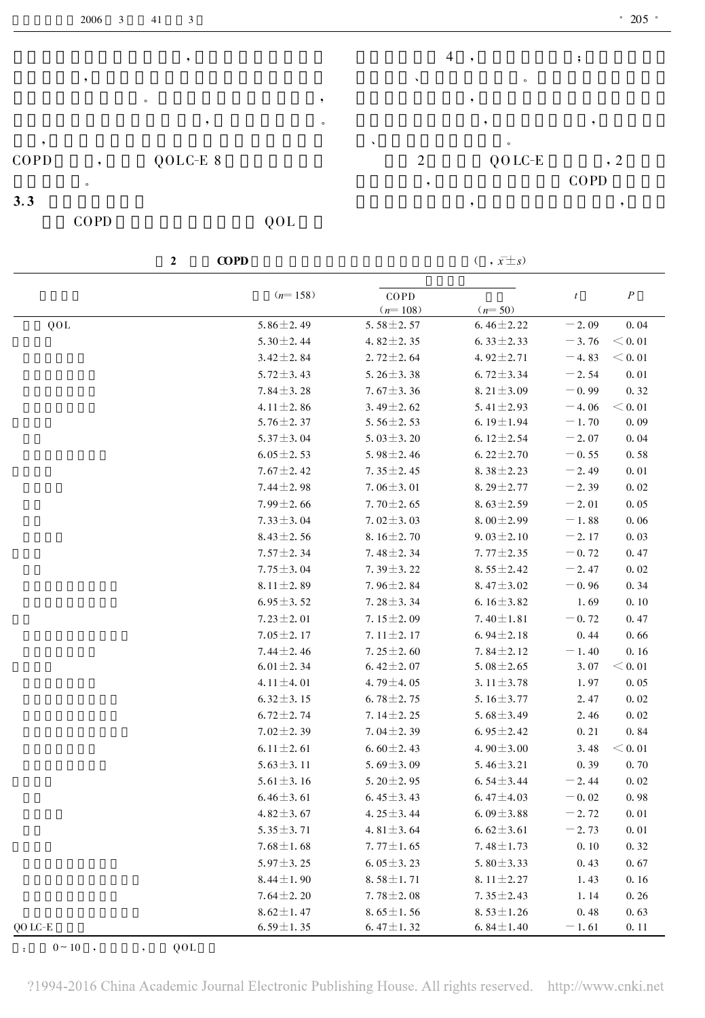|      | 2006    | $\overline{\mathbf{3}}$ | 41       | 3 |         |    |                |   |           |      | $\degree$ 205 $\degree$ |
|------|---------|-------------------------|----------|---|---------|----|----------------|---|-----------|------|-------------------------|
|      |         |                         |          |   |         |    |                | 4 |           |      |                         |
|      |         |                         |          |   |         |    |                |   | $\circ$   |      |                         |
|      |         |                         | $\circ$  |   |         |    |                |   |           |      |                         |
|      |         |                         |          |   | $\circ$ |    |                |   |           |      |                         |
|      |         |                         |          |   |         | ×. |                |   | $\circ$   |      |                         |
| COPD | ۰       |                         | QOLC-E 8 |   |         |    | $\overline{2}$ |   | $QO$ LC-E |      | , 2                     |
|      | $\circ$ |                         |          |   |         |    |                |   |           | COPD |                         |
| 3.3  |         |                         |          |   |         |    |                |   |           |      |                         |

COPD QOL

2 COPD  $(x, \bar{x} \pm s)$ 

|         | $(n=158)$       | COPD             |                 | $\boldsymbol{t}$ | $\cal P$ |
|---------|-----------------|------------------|-----------------|------------------|----------|
|         |                 | $(n=108)$        | $(n=50)$        |                  |          |
| QOL     | $5.86 \pm 2.49$ | 5.58 $\pm$ 2.57  | $6.46 \pm 2.22$ | $-2.09$          | 0.04     |
|         | 5.30 $\pm$ 2.44 | 4.82 $\pm$ 2.35  | 6.33 $\pm$ 2.33 | $-3.76$          | < 0.01   |
|         | $3.42 \pm 2.84$ | $2.72 \pm 2.64$  | 4.92 $\pm$ 2.71 | $-4.83$          | < 0.01   |
|         | 5.72 $\pm$ 3.43 | 5.26 $\pm$ 3.38  | 6.72 $\pm$ 3.34 | $-2.54$          | 0.01     |
|         | $7.84 \pm 3.28$ | $7.67 \pm 3.36$  | 8.21 $\pm$ 3.09 | $-0.99$          | 0.32     |
|         | 4.11 $\pm$ 2.86 | 3.49 $\pm$ 2.62  | 5.41 $\pm$ 2.93 | $-4.06$          | < 0.01   |
|         | $5.76 \pm 2.37$ | 5.56 $\pm$ 2.53  | 6.19 $\pm$ 1.94 | $-1.70$          | 0.09     |
|         | 5.37 $\pm$ 3.04 | 5.03 $\pm$ 3.20  | 6.12 $\pm$ 2.54 | $-2.07$          | 0.04     |
|         | $6.05 \pm 2.53$ | 5.98 $\pm$ 2.46  | 6.22 $\pm$ 2.70 | $= 0.55$         | 0.58     |
|         | $7.67 \pm 2.42$ | 7.35 $\pm$ 2.45  | 8.38 $\pm$ 2.23 | $-2.49$          | 0.01     |
|         | $7.44 \pm 2.98$ | 7.06 $\pm$ 3.01  | 8.29 $\pm$ 2.77 | $-2.39$          | 0.02     |
|         | $7.99 \pm 2.66$ | 7.70 $\pm$ 2.65  | 8.63 $\pm$ 2.59 | $-2.01$          | 0.05     |
|         | $7.33 \pm 3.04$ | 7.02 $\pm$ 3.03  | $8.00 \pm 2.99$ | $-1.88$          | 0.06     |
|         | $8.43 \pm 2.56$ | 8.16 $\pm$ 2.70  | $9.03 \pm 2.10$ | $-2.17$          | 0.03     |
|         | $7.57 \pm 2.34$ | 7.48 $\pm$ 2.34  | 7.77 $\pm$ 2.35 | $-0.72$          | 0.47     |
|         | $7.75 \pm 3.04$ | 7.39 $\pm$ 3.22  | 8.55 $\pm$ 2.42 | $-2.47$          | 0.02     |
|         | $8.11 \pm 2.89$ | 7.96 $\pm$ 2.84  | 8.47 $\pm$ 3.02 | $-0.96$          | 0.34     |
|         | $6.95 \pm 3.52$ | 7.28 $\pm$ 3.34  | 6.16 $\pm$ 3.82 | 1.69             | 0.10     |
|         | $7.23 \pm 2.01$ | 7.15 $\pm$ 2.09  | 7.40 $\pm$ 1.81 | $-0.72$          | 0.47     |
|         | $7.05 \pm 2.17$ | 7.11 $\pm$ 2.17  | 6.94 $\pm$ 2.18 | 0.44             | 0.66     |
|         | $7.44 \pm 2.46$ | 7.25 $\pm$ 2.60  | 7.84 $\pm$ 2.12 | $-1.40$          | 0.16     |
|         | $6.01 \pm 2.34$ | 6.42 $\pm$ 2.07  | 5.08 $\pm$ 2.65 | 3.07             | < 0.01   |
|         | 4.11 $\pm$ 4.01 | 4.79 $\pm$ 4.05  | 3.11 $\pm$ 3.78 | 1.97             | 0.05     |
|         | $6.32 \pm 3.15$ | 6.78 $\pm$ 2.75  | 5.16 $\pm$ 3.77 | 2.47             | 0.02     |
|         | $6.72 \pm 2.74$ | 7.14 $\pm$ 2.25  | 5.68 $\pm$ 3.49 | 2.46             | 0.02     |
|         | $7.02 \pm 2.39$ | 7.04 $\pm$ 2.39  | 6.95 $\pm$ 2.42 | 0.21             | 0.84     |
|         | 6.11 $\pm$ 2.61 | 6.60 $\pm$ 2.43  | 4.90 $\pm$ 3.00 | 3.48             | $<$ 0.01 |
|         | $5.63 \pm 3.11$ | 5.69 $\pm$ 3.09  | 5.46 $\pm$ 3.21 | 0.39             | 0.70     |
|         | 5.61 $\pm$ 3.16 | 5.20 $\pm$ 2.95  | 6.54 $\pm$ 3.44 | $-2.44$          | 0.02     |
|         | $6.46 \pm 3.61$ | 6.45 $\pm$ 3.43  | 6.47 $\pm$ 4.03 | $-0.02$          | 0.98     |
|         | $4.82 \pm 3.67$ | 4. $25 \pm 3.44$ | 6.09 ± 3.88     | $-2.72$          | 0.01     |
|         | $5.35 \pm 3.71$ | 4.81 $\pm$ 3.64  | 6.62 $\pm$ 3.61 | $-2.73$          | 0.01     |
|         | $7.68 \pm 1.68$ | $7.77 \pm 1.65$  | 7.48 $\pm$ 1.73 | 0.10             | 0.32     |
|         | $5.97 \pm 3.25$ | 6.05 $\pm$ 3.23  | 5.80 $\pm$ 3.33 | 0.43             | 0.67     |
|         | $8.44 \pm 1.90$ | $8.58 \pm 1.71$  | 8.11 $\pm$ 2.27 | 1.43             | 0.16     |
|         | $7.64 \pm 2.20$ | $7.78 \pm 2.08$  | 7.35 $\pm$ 2.43 | 1.14             | 0.26     |
|         | $8.62 \pm 1.47$ | 8.65 $\pm$ 1.56  | 8.53 $\pm$ 1.26 | 0.48             | 0.63     |
| QO LC-E | $6.59 \pm 1.35$ | 6.47 $\pm$ 1.32  | 6.84 $\pm$ 1.40 | $-1.61$          | 0.11     |

:  $0 \sim 10$  , , QOL